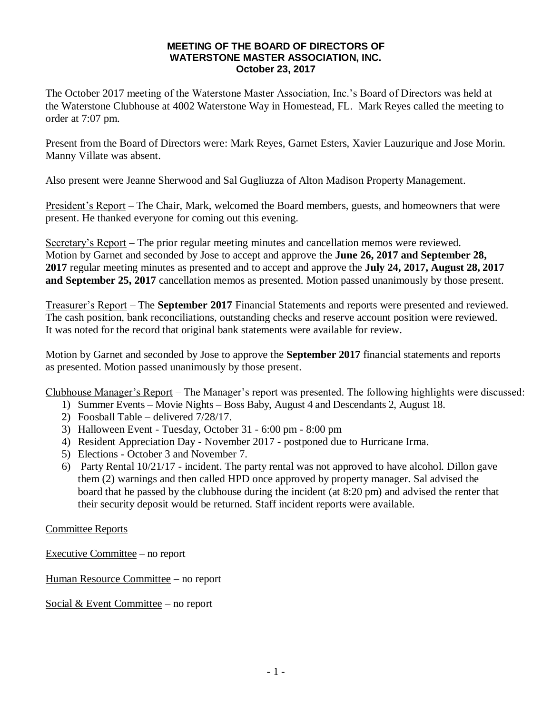## **MEETING OF THE BOARD OF DIRECTORS OF WATERSTONE MASTER ASSOCIATION, INC. October 23, 2017**

The October 2017 meeting of the Waterstone Master Association, Inc.'s Board of Directors was held at the Waterstone Clubhouse at 4002 Waterstone Way in Homestead, FL. Mark Reyes called the meeting to order at 7:07 pm.

Present from the Board of Directors were: Mark Reyes, Garnet Esters, Xavier Lauzurique and Jose Morin. Manny Villate was absent.

Also present were Jeanne Sherwood and Sal Gugliuzza of Alton Madison Property Management.

President's Report – The Chair, Mark, welcomed the Board members, guests, and homeowners that were present. He thanked everyone for coming out this evening.

Secretary's Report – The prior regular meeting minutes and cancellation memos were reviewed. Motion by Garnet and seconded by Jose to accept and approve the **June 26, 2017 and September 28, 2017** regular meeting minutes as presented and to accept and approve the **July 24, 2017, August 28, 2017 and September 25, 2017** cancellation memos as presented. Motion passed unanimously by those present.

Treasurer's Report – The **September 2017** Financial Statements and reports were presented and reviewed. The cash position, bank reconciliations, outstanding checks and reserve account position were reviewed. It was noted for the record that original bank statements were available for review.

Motion by Garnet and seconded by Jose to approve the **September 2017** financial statements and reports as presented. Motion passed unanimously by those present.

Clubhouse Manager's Report – The Manager's report was presented. The following highlights were discussed:

- 1) Summer Events Movie Nights Boss Baby, August 4 and Descendants 2, August 18.
- 2) Foosball Table delivered 7/28/17.
- 3) Halloween Event Tuesday, October 31 6:00 pm 8:00 pm
- 4) Resident Appreciation Day November 2017 postponed due to Hurricane Irma.
- 5) Elections October 3 and November 7.
- 6) Party Rental 10/21/17 incident. The party rental was not approved to have alcohol. Dillon gave them (2) warnings and then called HPD once approved by property manager. Sal advised the board that he passed by the clubhouse during the incident (at 8:20 pm) and advised the renter that their security deposit would be returned. Staff incident reports were available.

Committee Reports

Executive Committee – no report

Human Resource Committee – no report

Social & Event Committee – no report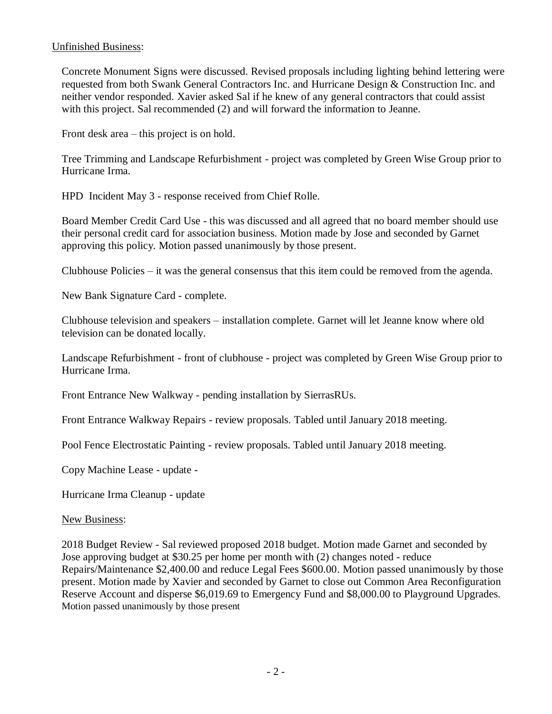## Unfinished Business:

Concrete Monument Signs were discussed. Revised proposals including lighting behind lettering were requested from both Swank General Contractors Inc. and Hurricane Design & Construction Inc. and neither vendor responded. Xavier asked Sal if he knew of any general contractors that could assist with this project. Sal recommended (2) and will forward the information to Jeanne.

Front desk area – this project is on hold.

Tree Trimming and Landscape Refurbishment - project was completed by Green Wise Group prior to Hurricane Irma.

HPD Incident May 3 - response received from Chief Rolle.

Board Member Credit Card Use - this was discussed and all agreed that no board member should use their personal credit card for association business. Motion made by Jose and seconded by Garnet approving this policy. Motion passed unanimously by those present.

Clubhouse Policies – it was the general consensus that this item could be removed from the agenda.

New Bank Signature Card - complete.

Clubhouse television and speakers – installation complete. Garnet will let Jeanne know where old television can be donated locally.

Landscape Refurbishment - front of clubhouse - project was completed by Green Wise Group prior to Hurricane Irma.

Front Entrance New Walkway - pending installation by SierrasRUs.

Front Entrance Walkway Repairs - review proposals. Tabled until January 2018 meeting.

Pool Fence Electrostatic Painting - review proposals. Tabled until January 2018 meeting.

Copy Machine Lease - update -

Hurricane Irma Cleanup - update

New Business:

2018 Budget Review - Sal reviewed proposed 2018 budget. Motion made Garnet and seconded by Jose approving budget at \$30.25 per home per month with (2) changes noted - reduce Repairs/Maintenance \$2,400.00 and reduce Legal Fees \$600.00. Motion passed unanimously by those present. Motion made by Xavier and seconded by Garnet to close out Common Area Reconfiguration Reserve Account and disperse \$6,019.69 to Emergency Fund and \$8,000.00 to Playground Upgrades. Motion passed unanimously by those present